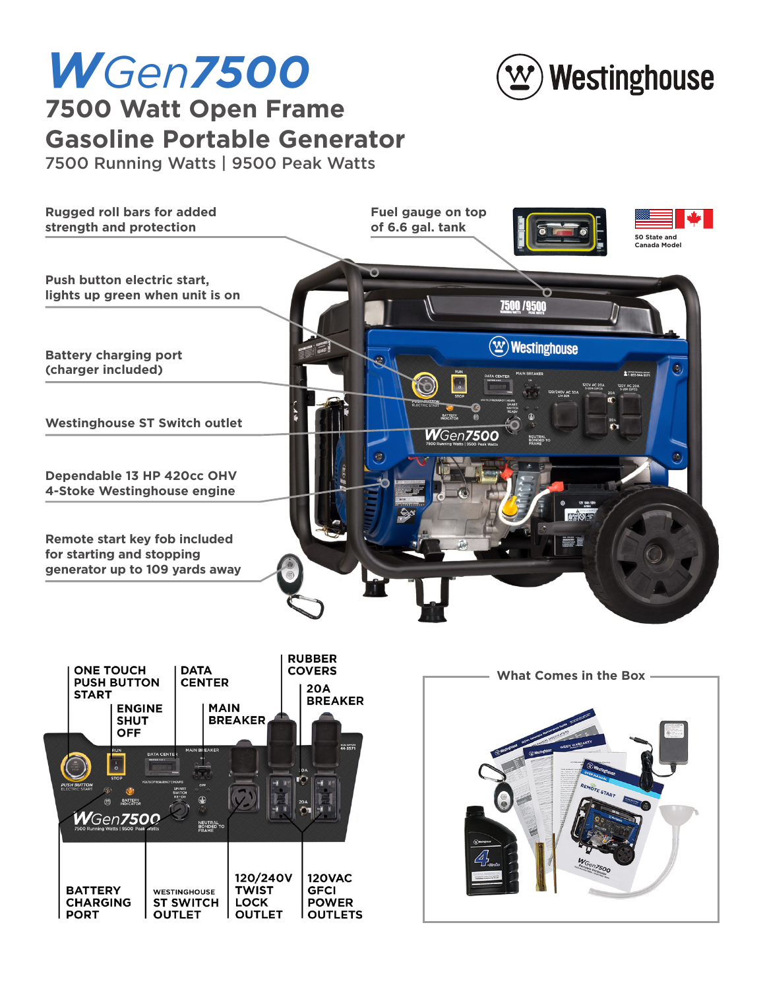

## *WGen7500* **7500 Watt Open Frame Gasoline Portable Generator**

7500 Running Watts | 9500 Peak Watts